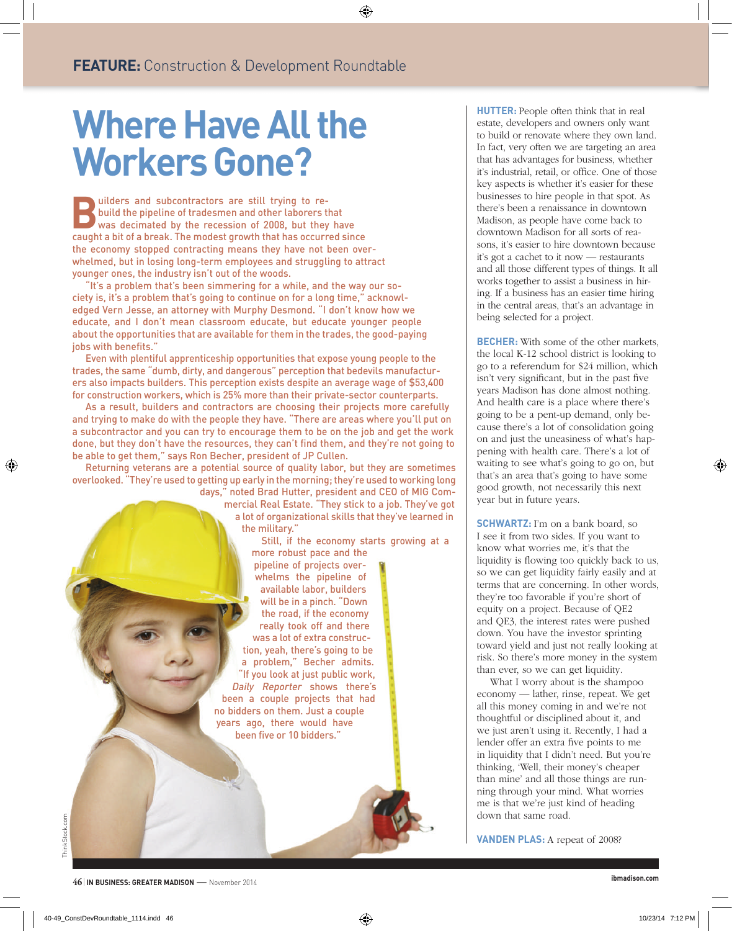⊕

# **Where Have All the Workers Gone?**

**FEATURE:** Construction & Development Roundtable

 **B** uilders and subcontractors are still trying to rebuild the pipeline of tradesmen and other laborers that was decimated by the recession of 2008, but they have caught a bit of a break. The modest growth that has occurred since the economy stopped contracting means they have not been overwhelmed, but in losing long-term employees and struggling to attract younger ones, the industry isn't out of the woods.

"It's a problem that's been simmering for a while, and the way our society is, it's a problem that's going to continue on for a long time," acknowledged Vern Jesse, an attorney with Murphy Desmond. "I don't know how we educate, and I don't mean classroom educate, but educate younger people about the opportunities that are available for them in the trades, the good-paying jobs with benefits."

Even with plentiful apprenticeship opportunities that expose young people to the trades, the same "dumb, dirty, and dangerous" perception that bedevils manufacturers also impacts builders. This perception exists despite an average wage of \$53,400 for construction workers, which is 25% more than their private-sector counterparts.

As a result, builders and contractors are choosing their projects more carefully and trying to make do with the people they have. "There are areas where you'll put on a subcontractor and you can try to encourage them to be on the job and get the work done, but they don't have the resources, they can't find them, and they're not going to be able to get them," says Ron Becher, president of JP Cullen.

Returning veterans are a potential source of quality labor, but they are sometimes overlooked. "They're used to getting up early in the morning; they're used to working long days," noted Brad Hutter, president and CEO of MIG Com-

mercial Real Estate. "They stick to a job. They've got a lot of organizational skills that they've learned in the military."

Still, if the economy starts growing at a

more robust pace and the pipeline of projects overwhelms the pipeline of available labor, builders will be in a pinch. "Down the road, if the economy really took off and there was a lot of extra construction, yeah, there's going to be a problem," Becher admits. "If you look at just public work, Daily Reporter shows there's been a couple projects that had no bidders on them. Just a couple years ago, there would have been five or 10 bidders."

**HUTTER:** People often think that in real estate, developers and owners only want to build or renovate where they own land. In fact, very often we are targeting an area that has advantages for business, whether it's industrial, retail, or office. One of those key aspects is whether it's easier for these businesses to hire people in that spot. As there's been a renaissance in downtown Madison, as people have come back to downtown Madison for all sorts of reasons, it's easier to hire downtown because it's got a cachet to it now — restaurants and all those different types of things. It all works together to assist a business in hiring. If a business has an easier time hiring in the central areas, that's an advantage in being selected for a project.

**BECHER:** With some of the other markets, the local K-12 school district is looking to go to a referendum for \$24 million, which isn't very significant, but in the past five years Madison has done almost nothing. And health care is a place where there's going to be a pent-up demand, only because there's a lot of consolidation going on and just the uneasiness of what's happening with health care. There's a lot of waiting to see what's going to go on, but that's an area that's going to have some good growth, not necessarily this next year but in future years.

**SCHWARTZ:** I'm on a bank board, so I see it from two sides. If you want to know what worries me, it's that the liquidity is flowing too quickly back to us, so we can get liquidity fairly easily and at terms that are concerning. In other words, they're too favorable if you're short of equity on a project. Because of QE2 and QE3, the interest rates were pushed down. You have the investor sprinting toward yield and just not really looking at risk. So there's more money in the system than ever, so we can get liquidity.

What I worry about is the shampoo economy — lather, rinse, repeat. We get all this money coming in and we're not thoughtful or disciplined about it, and we just aren't using it. Recently, I had a lender offer an extra five points to me in liquidity that I didn't need. But you're thinking, 'Well, their money's cheaper than mine' and all those things are running through your mind. What worries me is that we're just kind of heading down that same road.

**VANDEN PLAS:** A repeat of 2008?

 **ibmadison.com**

⊕



ThinkStock.com

ThinkStock.com

↔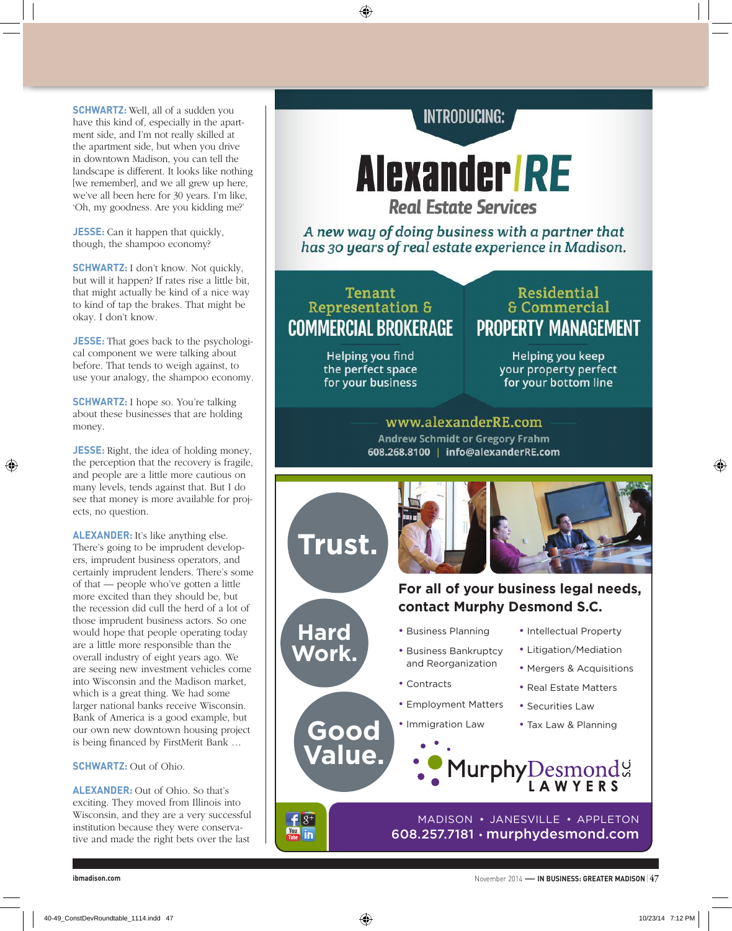**SCHWARTZ:** Well, all of a sudden you have this kind of, especially in the apartment side, and I'm not really skilled at the apartment side, but when you drive in downtown Madison, you can tell the landscape is different. It looks like nothing [we remember], and we all grew up here, we've all been here for 30 years. I'm like, 'Oh, my goodness. Are you kidding me?'

**JESSE:** Can it happen that quickly, though, the shampoo economy?

**SCHWARTZ:** I don't know. Not quickly, but will it happen? If rates rise a little bit, that might actually be kind of a nice way to kind of tap the brakes. That might be okay. I don't know.

**JESSE:** That goes back to the psychological component we were talking about before. That tends to weigh against, to use your analogy, the shampoo economy.

**SCHWARTZ:** I hope so. You're talking about these businesses that are holding money.

**JESSE:** Right, the idea of holding money, the perception that the recovery is fragile, and people are a little more cautious on many levels, tends against that. But I do see that money is more available for projects, no question.

⊕

**ALEXANDER:** It's like anything else. There's going to be imprudent developers, imprudent business operators, and certainly imprudent lenders. There's some of that — people who've gotten a little more excited than they should be, but the recession did cull the herd of a lot of those imprudent business actors. So one would hope that people operating today are a little more responsible than the overall industry of eight years ago. We are seeing new investment vehicles come into Wisconsin and the Madison market, which is a great thing. We had some larger national banks receive Wisconsin. Bank of America is a good example, but our own new downtown housing project is being financed by FirstMerit Bank …

#### **SCHWARTZ:** Out of Ohio.

**ALEXANDER:** Out of Ohio. So that's exciting. They moved from Illinois into Wisconsin, and they are a very successful institution because they were conservative and made the right bets over the last

## **INTRODUCING:**

**Alexander RE Real Estate Services** 

A new way of doing business with a partner that has 30 years of real estate experience in Madison.

## Tenant **Representation & COMMERCIAL BROKERAGE**

⊕

Helping you find the perfect space for your business

## Residential **& Commercial PROPERTY MANAGEMENT**

Helping you keep your property perfect for your bottom line

www.alexanderRE.com **Andrew Schmidt or Gregory Frahm** 608.268.8100 | info@alexanderRE.com



**ibmadison.com** November 2014 —**IN BUSINESS: GREATER MADISON** <sup>|</sup> **47**

♠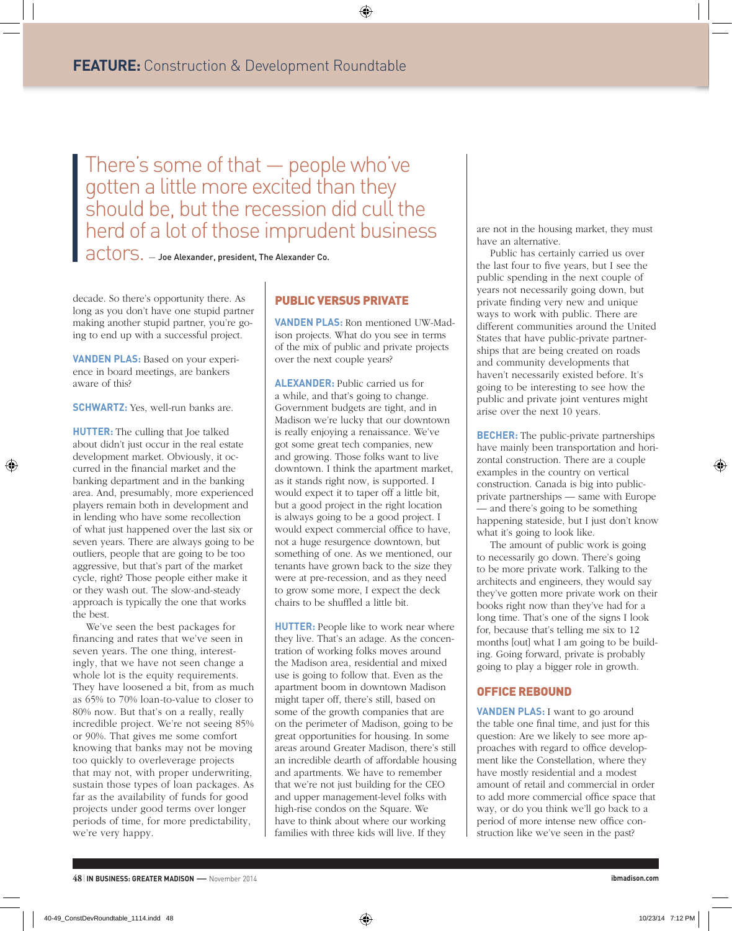There's some of that — people who've gotten a little more excited than they should be, but the recession did cull the herd of a lot of those imprudent business

 $\overline{a}\text{C} \text{tors.}$  — Joe Alexander, president, The Alexander Co.

decade. So there's opportunity there. As long as you don't have one stupid partner making another stupid partner, you're going to end up with a successful project.

**VANDEN PLAS:** Based on your experience in board meetings, are bankers aware of this?

**SCHWARTZ:** Yes, well-run banks are.

↔

**HUTTER:** The culling that Joe talked about didn't just occur in the real estate development market. Obviously, it occurred in the financial market and the banking department and in the banking area. And, presumably, more experienced players remain both in development and in lending who have some recollection of what just happened over the last six or seven years. There are always going to be outliers, people that are going to be too aggressive, but that's part of the market cycle, right? Those people either make it or they wash out. The slow-and-steady approach is typically the one that works the best.

We've seen the best packages for financing and rates that we've seen in seven years. The one thing, interestingly, that we have not seen change a whole lot is the equity requirements. They have loosened a bit, from as much as 65% to 70% loan-to-value to closer to 80% now. But that's on a really, really incredible project. We're not seeing 85% or 90%. That gives me some comfort knowing that banks may not be moving too quickly to overleverage projects that may not, with proper underwriting, sustain those types of loan packages. As far as the availability of funds for good projects under good terms over longer periods of time, for more predictability, we're very happy.

### PUBLIC VERSUS PRIVATE

**VANDEN PLAS:** Ron mentioned UW-Madison projects. What do you see in terms of the mix of public and private projects over the next couple years?

⊕

**ALEXANDER:** Public carried us for a while, and that's going to change. Government budgets are tight, and in Madison we're lucky that our downtown is really enjoying a renaissance. We've got some great tech companies, new and growing. Those folks want to live downtown. I think the apartment market, as it stands right now, is supported. I would expect it to taper off a little bit, but a good project in the right location is always going to be a good project. I would expect commercial office to have, not a huge resurgence downtown, but something of one. As we mentioned, our tenants have grown back to the size they were at pre-recession, and as they need to grow some more, I expect the deck chairs to be shuffled a little bit.

**HUTTER:** People like to work near where they live. That's an adage. As the concentration of working folks moves around the Madison area, residential and mixed use is going to follow that. Even as the apartment boom in downtown Madison might taper off, there's still, based on some of the growth companies that are on the perimeter of Madison, going to be great opportunities for housing. In some areas around Greater Madison, there's still an incredible dearth of affordable housing and apartments. We have to remember that we're not just building for the CEO and upper management-level folks with high-rise condos on the Square. We have to think about where our working families with three kids will live. If they

are not in the housing market, they must have an alternative.

Public has certainly carried us over the last four to five years, but I see the public spending in the next couple of years not necessarily going down, but private finding very new and unique ways to work with public. There are different communities around the United States that have public-private partnerships that are being created on roads and community developments that haven't necessarily existed before. It's going to be interesting to see how the public and private joint ventures might arise over the next 10 years.

**BECHER:** The public-private partnerships have mainly been transportation and horizontal construction. There are a couple examples in the country on vertical construction. Canada is big into publicprivate partnerships — same with Europe — and there's going to be something happening stateside, but I just don't know what it's going to look like.

The amount of public work is going to necessarily go down. There's going to be more private work. Talking to the architects and engineers, they would say they've gotten more private work on their books right now than they've had for a long time. That's one of the signs I look for, because that's telling me six to 12 months [out] what I am going to be building. Going forward, private is probably going to play a bigger role in growth.

#### OFFICE REBOUND

**VANDEN PLAS:** I want to go around the table one final time, and just for this question: Are we likely to see more approaches with regard to office development like the Constellation, where they have mostly residential and a modest amount of retail and commercial in order to add more commercial office space that way, or do you think we'll go back to a period of more intense new office construction like we've seen in the past?

⊕